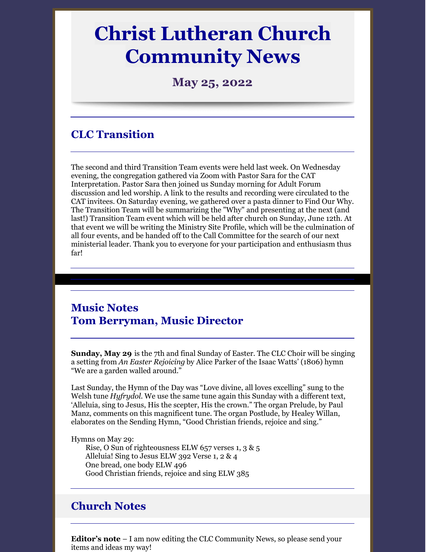# **Christ Lutheran Church Community News**

**May 25, 2022**

## **CLC Transition**

The second and third Transition Team events were held last week. On Wednesday evening, the congregation gathered via Zoom with Pastor Sara for the CAT Interpretation. Pastor Sara then joined us Sunday morning for Adult Forum discussion and led worship. A link to the results and recording were circulated to the CAT invitees. On Saturday evening, we gathered over a pasta dinner to Find Our Why. The Transition Team will be summarizing the "Why" and presenting at the next (and last!) Transition Team event which will be held after church on Sunday, June 12th. At that event we will be writing the Ministry Site Profile, which will be the culmination of all four events, and be handed off to the Call Committee for the search of our next ministerial leader. Thank you to everyone for your participation and enthusiasm thus far!

## **Music Notes Tom Berryman, Music Director**

**Sunday, May 29** is the 7th and final Sunday of Easter. The CLC Choir will be singing a setting from *An Easter Rejoicing* by Alice Parker of the Isaac Watts' (1806) hymn "We are a garden walled around."

Last Sunday, the Hymn of the Day was "Love divine, all loves excelling" sung to the Welsh tune *Hyfrydol.* We use the same tune again this Sunday with a different text, 'Alleluia, sing to Jesus, His the scepter, His the crown." The organ Prelude, by Paul Manz, comments on this magnificent tune. The organ Postlude, by Healey Willan, elaborates on the Sending Hymn, "Good Christian friends, rejoice and sing."

Hymns on May 29:

Rise, O Sun of righteousness ELW 657 verses 1, 3 & 5 Alleluia! Sing to Jesus ELW 392 Verse 1, 2 & 4 One bread, one body ELW 496 Good Christian friends, rejoice and sing ELW 385

#### **Church Notes**

**Editor's note** – I am now editing the CLC Community News, so please send your items and ideas my way!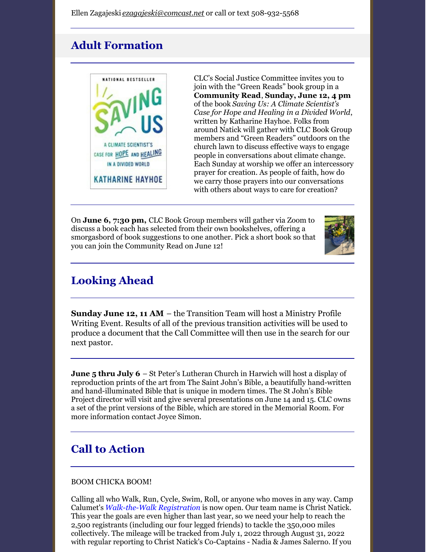# **Adult Formation**



CLC's Social Justice Committee invites you to join with the "Green Reads" book group in a **Community Read**, **Sunday, June 12, 4 pm** of the book *Saving Us: A Climate Scientist's Case for Hope and Healing in a Divided World*, written by Katharine Hayhoe. Folks from around Natick will gather with CLC Book Group members and "Green Readers" outdoors on the church lawn to discuss effective ways to engage people in conversations about climate change. Each Sunday at worship we offer an intercessory prayer for creation. As people of faith, how do we carry those prayers into our conversations with others about ways to care for creation?

On **June 6, 7:30 pm,** CLC Book Group members will gather via Zoom to discuss a book each has selected from their own bookshelves, offering a smorgasbord of book suggestions to one another. Pick a short book so that you can join the Community Read on June 12!



# **Looking Ahead**

**Sunday June 12, 11 AM** – the Transition Team will host a Ministry Profile Writing Event. Results of all of the previous transition activities will be used to produce a document that the Call Committee will then use in the search for our next pastor.

**June 5 thru July 6** – St Peter's Lutheran Church in Harwich will host a display of reproduction prints of the art from The Saint John's Bible, a beautifully hand-written and hand-illuminated Bible that is unique in modern times. The St John's Bible Project director will visit and give several presentations on June 14 and 15. CLC owns a set of the print versions of the Bible, which are stored in the Memorial Room. For more information contact Joyce Simon.

# **Call to Action**

#### BOOM CHICKA BOOM!

Calling all who Walk, Run, Cycle, Swim, Roll, or anyone who moves in any way. Camp Calumet's *[Walk-the-Walk](https://www.calumet.org/giving/walkthewalk) Registration* is now open. Our team name is Christ Natick. This year the goals are even higher than last year, so we need your help to reach the 2,500 registrants (including our four legged friends) to tackle the 350,000 miles collectively. The mileage will be tracked from July 1, 2022 through August 31, 2022 with regular reporting to Christ Natick's Co-Captains - Nadia & James Salerno. If you